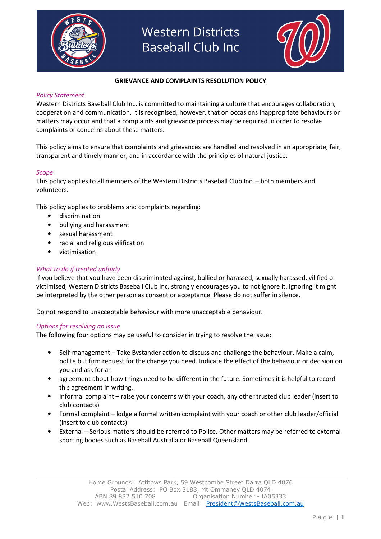



## GRIEVANCE AND COMPLAINTS RESOLUTION POLICY

### Policy Statement

Western Districts Baseball Club Inc. is committed to maintaining a culture that encourages collaboration, cooperation and communication. It is recognised, however, that on occasions inappropriate behaviours or matters may occur and that a complaints and grievance process may be required in order to resolve complaints or concerns about these matters.

This policy aims to ensure that complaints and grievances are handled and resolved in an appropriate, fair, transparent and timely manner, and in accordance with the principles of natural justice.

#### Scope

This policy applies to all members of the Western Districts Baseball Club Inc. – both members and volunteers.

This policy applies to problems and complaints regarding:

- discrimination
- bullying and harassment
- sexual harassment
- racial and religious vilification
- victimisation

#### What to do if treated unfairly

If you believe that you have been discriminated against, bullied or harassed, sexually harassed, vilified or victimised, Western Districts Baseball Club Inc. strongly encourages you to not ignore it. Ignoring it might be interpreted by the other person as consent or acceptance. Please do not suffer in silence.

Do not respond to unacceptable behaviour with more unacceptable behaviour.

#### Options for resolving an issue

The following four options may be useful to consider in trying to resolve the issue:

- Self-management Take Bystander action to discuss and challenge the behaviour. Make a calm, polite but firm request for the change you need. Indicate the effect of the behaviour or decision on you and ask for an
- agreement about how things need to be different in the future. Sometimes it is helpful to record this agreement in writing.
- Informal complaint raise your concerns with your coach, any other trusted club leader (insert to club contacts)
- Formal complaint lodge a formal written complaint with your coach or other club leader/official (insert to club contacts)
- External Serious matters should be referred to Police. Other matters may be referred to external sporting bodies such as Baseball Australia or Baseball Queensland.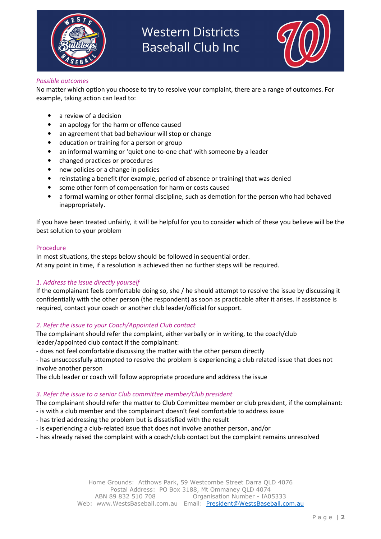



#### Possible outcomes

No matter which option you choose to try to resolve your complaint, there are a range of outcomes. For example, taking action can lead to:

- a review of a decision
- an apology for the harm or offence caused
- an agreement that bad behaviour will stop or change
- education or training for a person or group
- an informal warning or 'quiet one-to-one chat' with someone by a leader
- changed practices or procedures
- new policies or a change in policies
- reinstating a benefit (for example, period of absence or training) that was denied
- some other form of compensation for harm or costs caused
- a formal warning or other formal discipline, such as demotion for the person who had behaved inappropriately.

If you have been treated unfairly, it will be helpful for you to consider which of these you believe will be the best solution to your problem

#### Procedure

In most situations, the steps below should be followed in sequential order. At any point in time, if a resolution is achieved then no further steps will be required.

### 1. Address the issue directly yourself

If the complainant feels comfortable doing so, she / he should attempt to resolve the issue by discussing it confidentially with the other person (the respondent) as soon as practicable after it arises. If assistance is required, contact your coach or another club leader/official for support.

### 2. Refer the issue to your Coach/Appointed Club contact

The complainant should refer the complaint, either verbally or in writing, to the coach/club leader/appointed club contact if the complainant:

- does not feel comfortable discussing the matter with the other person directly

- has unsuccessfully attempted to resolve the problem is experiencing a club related issue that does not involve another person

The club leader or coach will follow appropriate procedure and address the issue

### 3. Refer the issue to a senior Club committee member/Club president

The complainant should refer the matter to Club Committee member or club president, if the complainant:

- is with a club member and the complainant doesn't feel comfortable to address issue
- has tried addressing the problem but is dissatisfied with the result
- is experiencing a club-related issue that does not involve another person, and/or
- has already raised the complaint with a coach/club contact but the complaint remains unresolved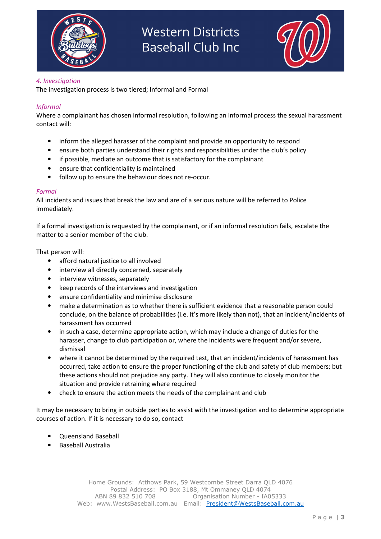



# 4. Investigation

The investigation process is two tiered; Informal and Formal

# Informal

Where a complainant has chosen informal resolution, following an informal process the sexual harassment contact will:

- inform the alleged harasser of the complaint and provide an opportunity to respond
- ensure both parties understand their rights and responsibilities under the club's policy
- if possible, mediate an outcome that is satisfactory for the complainant
- ensure that confidentiality is maintained
- follow up to ensure the behaviour does not re-occur.

### Formal

All incidents and issues that break the law and are of a serious nature will be referred to Police immediately.

If a formal investigation is requested by the complainant, or if an informal resolution fails, escalate the matter to a senior member of the club.

That person will:

- afford natural justice to all involved
- interview all directly concerned, separately
- interview witnesses, separately
- keep records of the interviews and investigation
- ensure confidentiality and minimise disclosure
- make a determination as to whether there is sufficient evidence that a reasonable person could conclude, on the balance of probabilities (i.e. it's more likely than not), that an incident/incidents of harassment has occurred
- in such a case, determine appropriate action, which may include a change of duties for the harasser, change to club participation or, where the incidents were frequent and/or severe, dismissal
- where it cannot be determined by the required test, that an incident/incidents of harassment has occurred, take action to ensure the proper functioning of the club and safety of club members; but these actions should not prejudice any party. They will also continue to closely monitor the situation and provide retraining where required
- check to ensure the action meets the needs of the complainant and club

It may be necessary to bring in outside parties to assist with the investigation and to determine appropriate courses of action. If it is necessary to do so, contact

- Queensland Baseball
- Baseball Australia